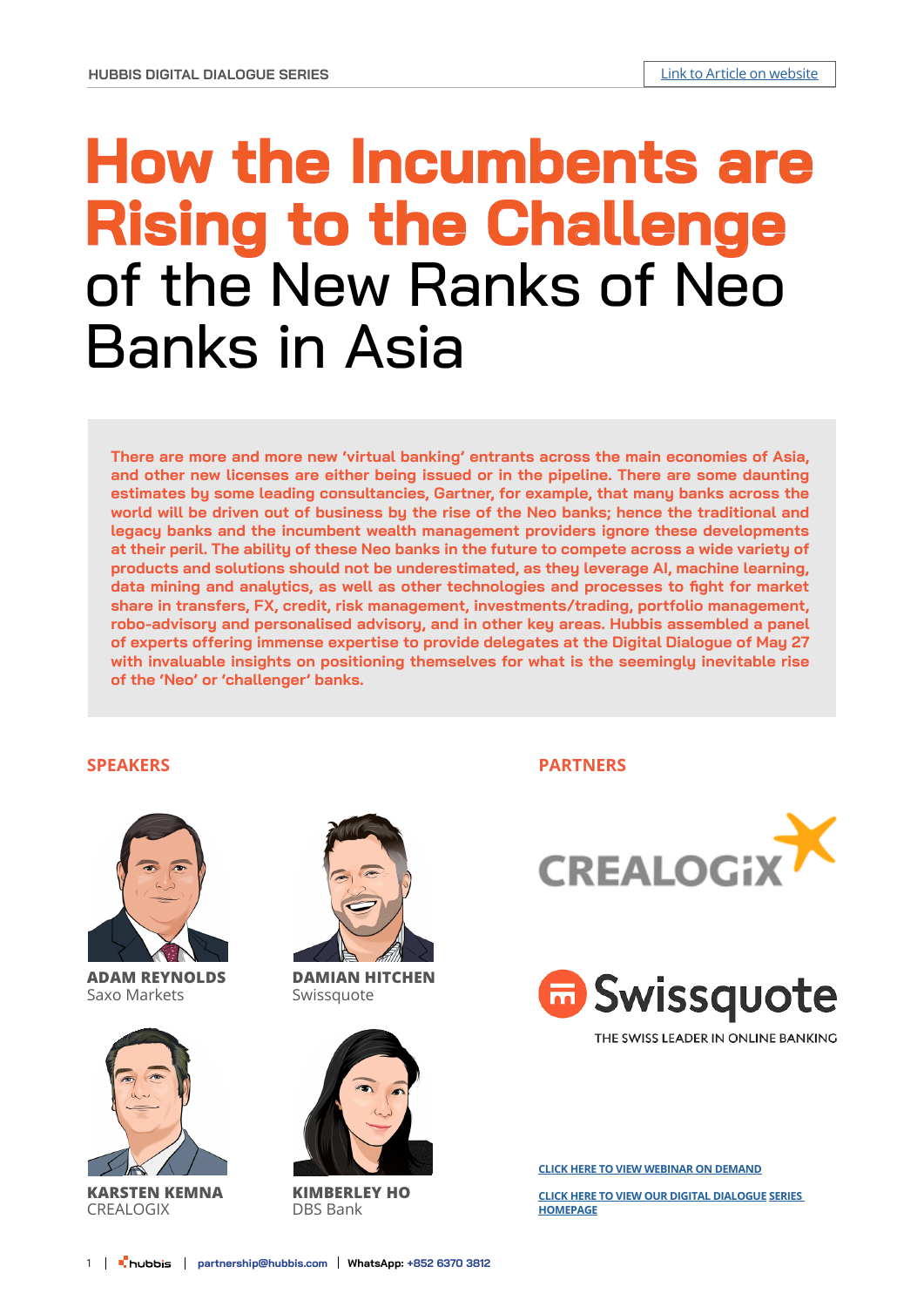# **How the Incumbents are Rising to the Challenge**  of the New Ranks of Neo Banks in Asia

**There are more and more new 'virtual banking' entrants across the main economies of Asia, and other new licenses are either being issued or in the pipeline. There are some daunting estimates by some leading consultancies, Gartner, for example, that many banks across the world will be driven out of business by the rise of the Neo banks; hence the traditional and legacy banks and the incumbent wealth management providers ignore these developments at their peril. The ability of these Neo banks in the future to compete across a wide variety of products and solutions should not be underestimated, as they leverage AI, machine learning, data mining and analytics, as well as other technologies and processes to fight for market share in transfers, FX, credit, risk management, investments/trading, portfolio management, robo-advisory and personalised advisory, and in other key areas. Hubbis assembled a panel of experts offering immense expertise to provide delegates at the Digital Dialogue of May 27 with invaluable insights on positioning themselves for what is the seemingly inevitable rise of the 'Neo' or 'challenger' banks.**

### **SPEAKERS**



**ADAM REYNOLDS** Saxo Markets



**KARSTEN KEMNA** CREALOGIX



**DAMIAN HITCHEN** Swissquote



**KIMBERLEY HO** DBS Bank

**PARTNERS**





THE SWISS LEADER IN ONLINE BANKING

**[CLICK HERE TO VIEW WEBINAR ON DEMAND](https://us02web.zoom.us/rec/share/bNyDQ3zqesEnD1hEXzMRQfwIP7AwyUrsyYDcoLy8ijVknh1TP-tEvVpiDWcL7CCU.zNNp-BywQR49S5pE)**

**[CLICK HERE TO VIEW OUR DIGITAL DIALOGUE](https://hubbis.com/events/digitaldialogue) SERIES [HOMEPAGE](https://hubbis.com/events/digitaldialogue)**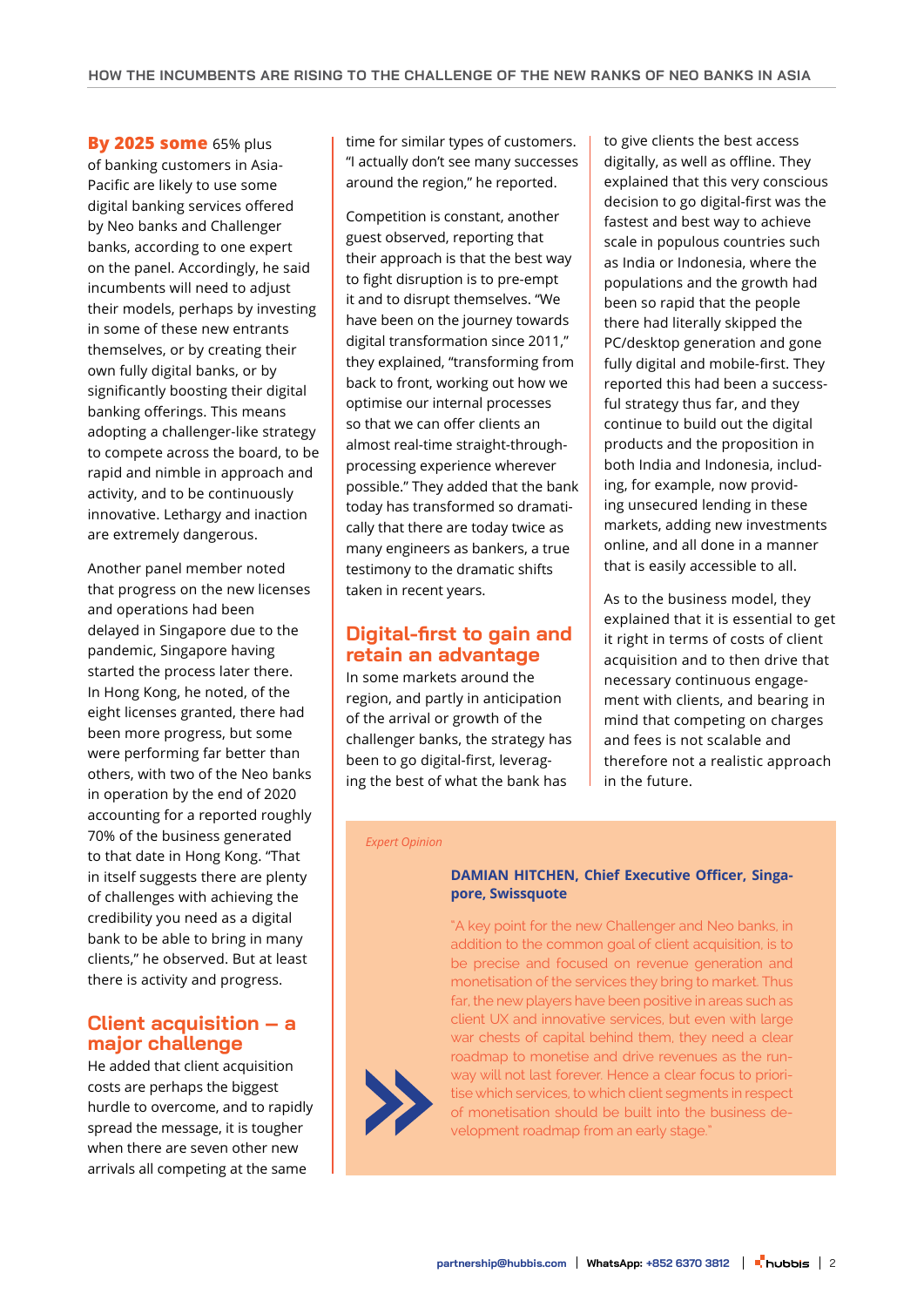**By 2025 some** 65% plus of banking customers in Asia-Pacific are likely to use some digital banking services offered by Neo banks and Challenger banks, according to one expert on the panel. Accordingly, he said incumbents will need to adjust their models, perhaps by investing in some of these new entrants themselves, or by creating their own fully digital banks, or by significantly boosting their digital banking offerings. This means adopting a challenger-like strategy to compete across the board, to be rapid and nimble in approach and activity, and to be continuously innovative. Lethargy and inaction are extremely dangerous.

Another panel member noted that progress on the new licenses and operations had been delayed in Singapore due to the pandemic, Singapore having started the process later there. In Hong Kong, he noted, of the eight licenses granted, there had been more progress, but some were performing far better than others, with two of the Neo banks in operation by the end of 2020 accounting for a reported roughly 70% of the business generated to that date in Hong Kong. "That in itself suggests there are plenty of challenges with achieving the credibility you need as a digital bank to be able to bring in many clients," he observed. But at least there is activity and progress.

# **Client acquisition – a major challenge**

He added that client acquisition costs are perhaps the biggest hurdle to overcome, and to rapidly spread the message, it is tougher when there are seven other new arrivals all competing at the same

time for similar types of customers. "I actually don't see many successes around the region," he reported.

Competition is constant, another guest observed, reporting that their approach is that the best way to fight disruption is to pre-empt it and to disrupt themselves. "We have been on the journey towards digital transformation since 2011," they explained, "transforming from back to front, working out how we optimise our internal processes so that we can offer clients an almost real-time straight-throughprocessing experience wherever possible." They added that the bank today has transformed so dramatically that there are today twice as many engineers as bankers, a true testimony to the dramatic shifts taken in recent years.

# **Digital-first to gain and retain an advantage**

In some markets around the region, and partly in anticipation of the arrival or growth of the challenger banks, the strategy has been to go digital-first, leveraging the best of what the bank has

to give clients the best access digitally, as well as offline. They explained that this very conscious decision to go digital-first was the fastest and best way to achieve scale in populous countries such as India or Indonesia, where the populations and the growth had been so rapid that the people there had literally skipped the PC/desktop generation and gone fully digital and mobile-first. They reported this had been a successful strategy thus far, and they continue to build out the digital products and the proposition in both India and Indonesia, including, for example, now providing unsecured lending in these markets, adding new investments online, and all done in a manner that is easily accessible to all.

As to the business model, they explained that it is essential to get it right in terms of costs of client acquisition and to then drive that necessary continuous engagement with clients, and bearing in mind that competing on charges and fees is not scalable and therefore not a realistic approach in the future.

#### *Expert Opinion*

#### **DAMIAN HITCHEN, Chief Executive Officer, Singapore, Swissquote**

"A key point for the new Challenger and Neo banks, in addition to the common goal of client acquisition, is to be precise and focused on revenue generation and monetisation of the services they bring to market. Thus far, the new players have been positive in areas such as client UX and innovative services, but even with large war chests of capital behind them, they need a clear roadmap to monetise and drive revenues as the runway will not last forever. Hence a clear focus to prioritise which services, to which client segments in respect of monetisation should be built into the business development roadmap from an early stage.'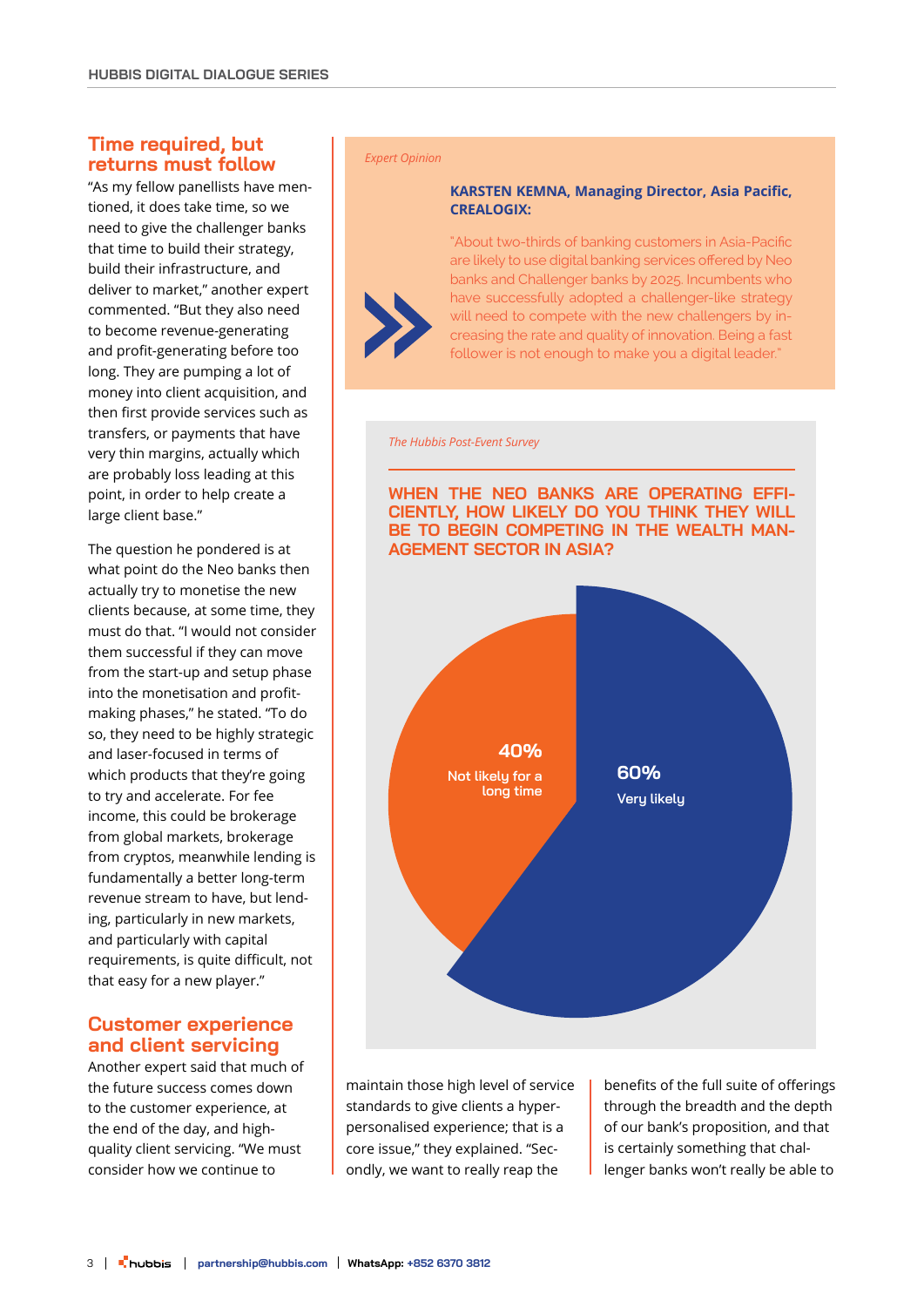# **Time required, but returns must follow**

"As my fellow panellists have mentioned, it does take time, so we need to give the challenger banks that time to build their strategy, build their infrastructure, and deliver to market," another expert commented. "But they also need to become revenue-generating and profit-generating before too long. They are pumping a lot of money into client acquisition, and then first provide services such as transfers, or payments that have very thin margins, actually which are probably loss leading at this point, in order to help create a large client base."

The question he pondered is at what point do the Neo banks then actually try to monetise the new clients because, at some time, they must do that. "I would not consider them successful if they can move from the start-up and setup phase into the monetisation and profitmaking phases," he stated. "To do so, they need to be highly strategic and laser-focused in terms of which products that they're going to try and accelerate. For fee income, this could be brokerage from global markets, brokerage from cryptos, meanwhile lending is fundamentally a better long-term revenue stream to have, but lending, particularly in new markets, and particularly with capital requirements, is quite difficult, not that easy for a new player."

# **Customer experience and client servicing**

Another expert said that much of the future success comes down to the customer experience, at the end of the day, and highquality client servicing. "We must consider how we continue to

#### *Expert Opinion*

#### **KARSTEN KEMNA, Managing Director, Asia Pacific, CREALOGIX:**

"About two-thirds of banking customers in Asia-Pacific are likely to use digital banking services offered by Neo banks and Challenger banks by 2025. Incumbents who have successfully adopted a challenger-like strategy will need to compete with the new challengers by increasing the rate and quality of innovation. Being a fast follower is not enough to make you a digital leader."

*The Hubbis Post-Event Survey*



maintain those high level of service standards to give clients a hyperpersonalised experience; that is a core issue," they explained. "Secondly, we want to really reap the

benefits of the full suite of offerings through the breadth and the depth of our bank's proposition, and that is certainly something that challenger banks won't really be able to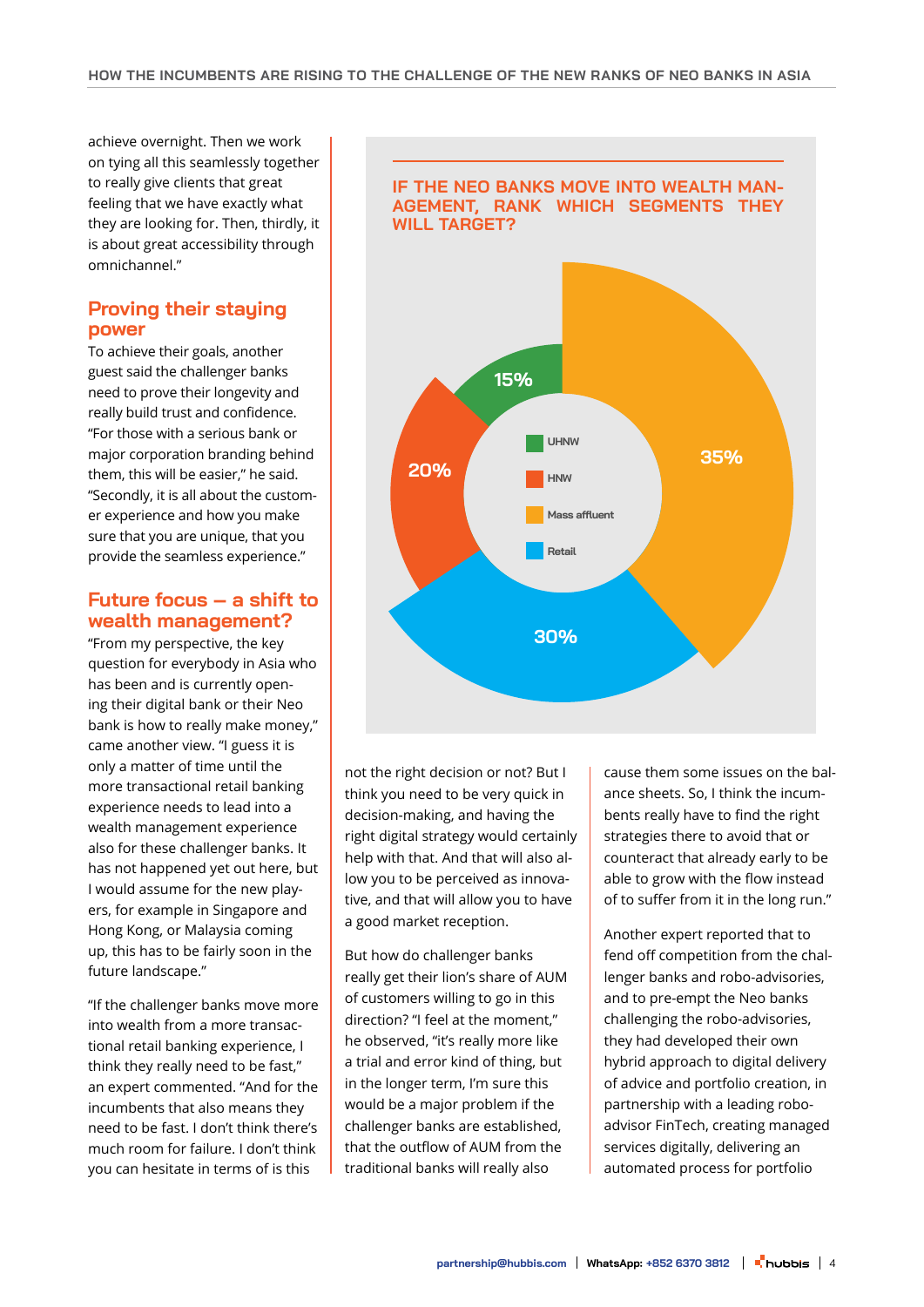achieve overnight. Then we work on tying all this seamlessly together to really give clients that great feeling that we have exactly what they are looking for. Then, thirdly, it is about great accessibility through omnichannel."

# **Proving their staying power**

To achieve their goals, another guest said the challenger banks need to prove their longevity and really build trust and confidence. "For those with a serious bank or major corporation branding behind them, this will be easier," he said. "Secondly, it is all about the customer experience and how you make sure that you are unique, that you provide the seamless experience."

# **Future focus – a shift to wealth management?**

"From my perspective, the key question for everybody in Asia who has been and is currently opening their digital bank or their Neo bank is how to really make money," came another view. "I guess it is only a matter of time until the more transactional retail banking experience needs to lead into a wealth management experience also for these challenger banks. It has not happened yet out here, but I would assume for the new players, for example in Singapore and Hong Kong, or Malaysia coming up, this has to be fairly soon in the future landscape."

"If the challenger banks move more into wealth from a more transactional retail banking experience, I think they really need to be fast," an expert commented. "And for the incumbents that also means they need to be fast. I don't think there's much room for failure. I don't think you can hesitate in terms of is this



not the right decision or not? But I think you need to be very quick in decision-making, and having the right digital strategy would certainly help with that. And that will also allow you to be perceived as innovative, and that will allow you to have a good market reception.

But how do challenger banks really get their lion's share of AUM of customers willing to go in this direction? "I feel at the moment," he observed, "it's really more like a trial and error kind of thing, but in the longer term, I'm sure this would be a major problem if the challenger banks are established, that the outflow of AUM from the traditional banks will really also

cause them some issues on the balance sheets. So, I think the incumbents really have to find the right strategies there to avoid that or counteract that already early to be able to grow with the flow instead of to suffer from it in the long run."

Another expert reported that to fend off competition from the challenger banks and robo-advisories, and to pre-empt the Neo banks challenging the robo-advisories, they had developed their own hybrid approach to digital delivery of advice and portfolio creation, in partnership with a leading roboadvisor FinTech, creating managed services digitally, delivering an automated process for portfolio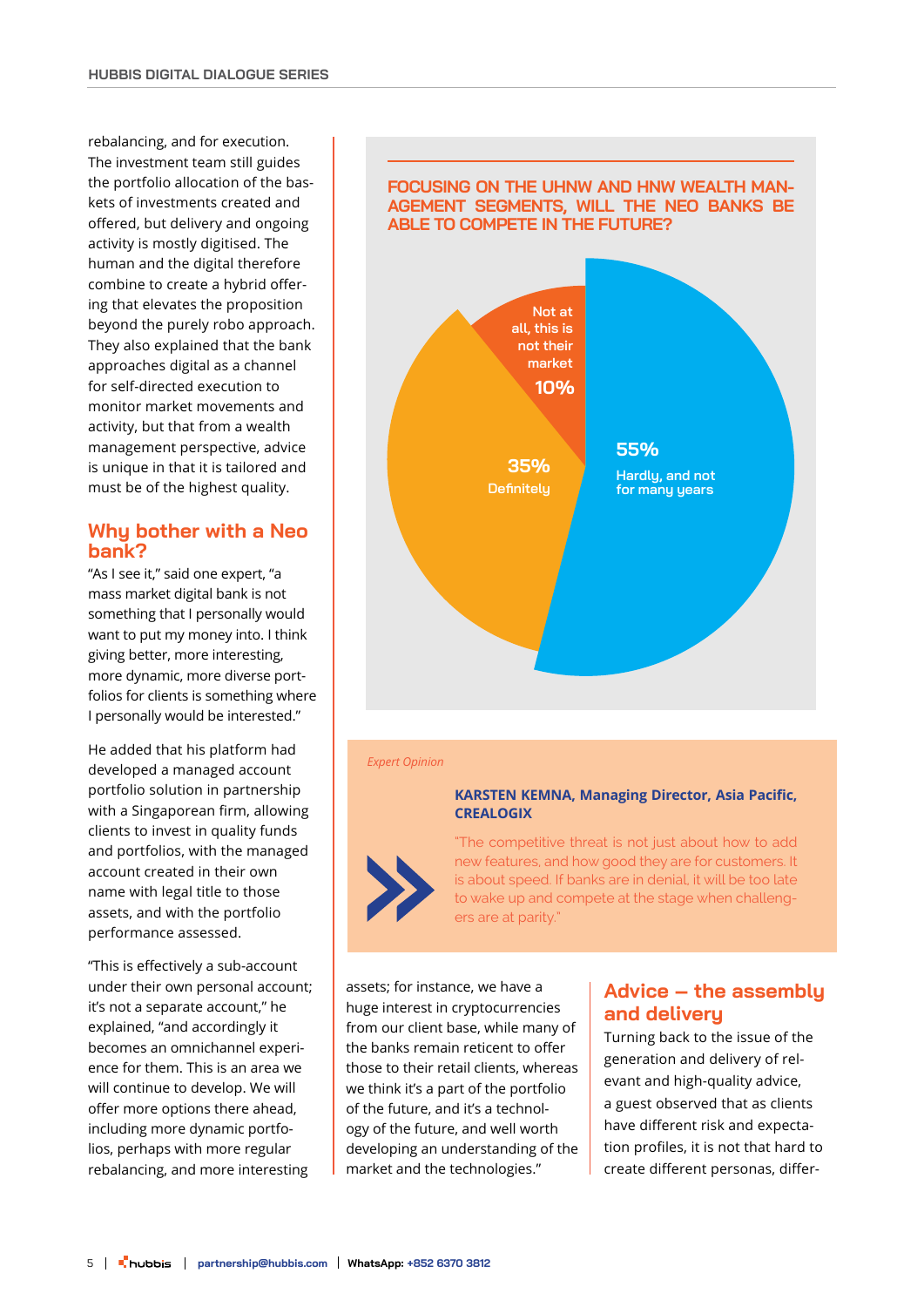rebalancing, and for execution. The investment team still guides the portfolio allocation of the baskets of investments created and offered, but delivery and ongoing activity is mostly digitised. The human and the digital therefore combine to create a hybrid offering that elevates the proposition beyond the purely robo approach. They also explained that the bank approaches digital as a channel for self-directed execution to monitor market movements and activity, but that from a wealth management perspective, advice is unique in that it is tailored and must be of the highest quality.

# **Why bother with a Neo bank?**

"As I see it," said one expert, "a mass market digital bank is not something that I personally would want to put my money into. I think giving better, more interesting, more dynamic, more diverse portfolios for clients is something where I personally would be interested."

He added that his platform had developed a managed account portfolio solution in partnership with a Singaporean firm, allowing clients to invest in quality funds and portfolios, with the managed account created in their own name with legal title to those assets, and with the portfolio performance assessed.

"This is effectively a sub-account under their own personal account; it's not a separate account," he explained, "and accordingly it becomes an omnichannel experience for them. This is an area we will continue to develop. We will offer more options there ahead, including more dynamic portfolios, perhaps with more regular rebalancing, and more interesting

### **FOCUSING ON THE UHNW AND HNW WEALTH MAN-AGEMENT SEGMENTS, WILL THE NEO BANKS BE ABLE TO COMPETE IN THE FUTURE?**



#### *Expert Opinion*

#### **KARSTEN KEMNA, Managing Director, Asia Pacific, CREALOGIX**



"The competitive threat is not just about how to add new features, and how good they are for customers. It is about speed. If banks are in denial, it will be too late to wake up and compete at the stage when challengers are at parity."

assets; for instance, we have a huge interest in cryptocurrencies from our client base, while many of the banks remain reticent to offer those to their retail clients, whereas we think it's a part of the portfolio of the future, and it's a technology of the future, and well worth developing an understanding of the market and the technologies."

# **Advice – the assembly and delivery**

Turning back to the issue of the generation and delivery of relevant and high-quality advice, a guest observed that as clients have different risk and expectation profiles, it is not that hard to create different personas, differ-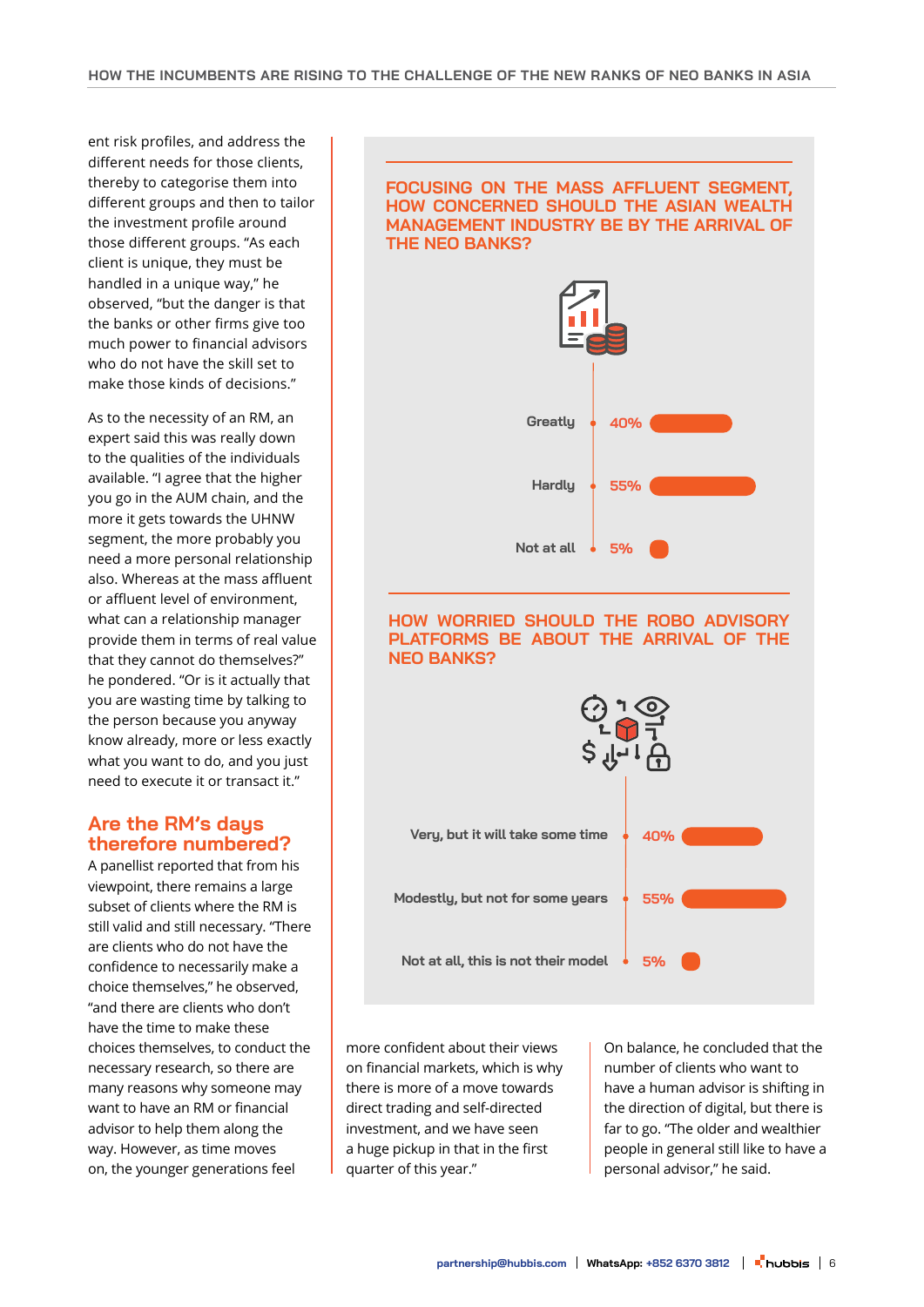ent risk profiles, and address the different needs for those clients, thereby to categorise them into different groups and then to tailor the investment profile around those different groups. "As each client is unique, they must be handled in a unique way," he observed, "but the danger is that the banks or other firms give too much power to financial advisors who do not have the skill set to make those kinds of decisions."

As to the necessity of an RM, an expert said this was really down to the qualities of the individuals available. "I agree that the higher you go in the AUM chain, and the more it gets towards the UHNW segment, the more probably you need a more personal relationship also. Whereas at the mass affluent or affluent level of environment, what can a relationship manager provide them in terms of real value that they cannot do themselves?" he pondered. "Or is it actually that you are wasting time by talking to the person because you anyway know already, more or less exactly what you want to do, and you just need to execute it or transact it."

# **Are the RM's days therefore numbered?**

A panellist reported that from his viewpoint, there remains a large subset of clients where the RM is still valid and still necessary. "There are clients who do not have the confidence to necessarily make a choice themselves," he observed, "and there are clients who don't have the time to make these choices themselves, to conduct the necessary research, so there are many reasons why someone may want to have an RM or financial advisor to help them along the way. However, as time moves on, the younger generations feel

## **FOCUSING ON THE MASS AFFLUENT SEGMENT, HOW CONCERNED SHOULD THE ASIAN WEALTH MANAGEMENT INDUSTRY BE BY THE ARRIVAL OF THE NEO BANKS?**



more confident about their views on financial markets, which is why there is more of a move towards direct trading and self-directed investment, and we have seen a huge pickup in that in the first quarter of this year."

On balance, he concluded that the number of clients who want to have a human advisor is shifting in the direction of digital, but there is far to go. "The older and wealthier people in general still like to have a personal advisor," he said.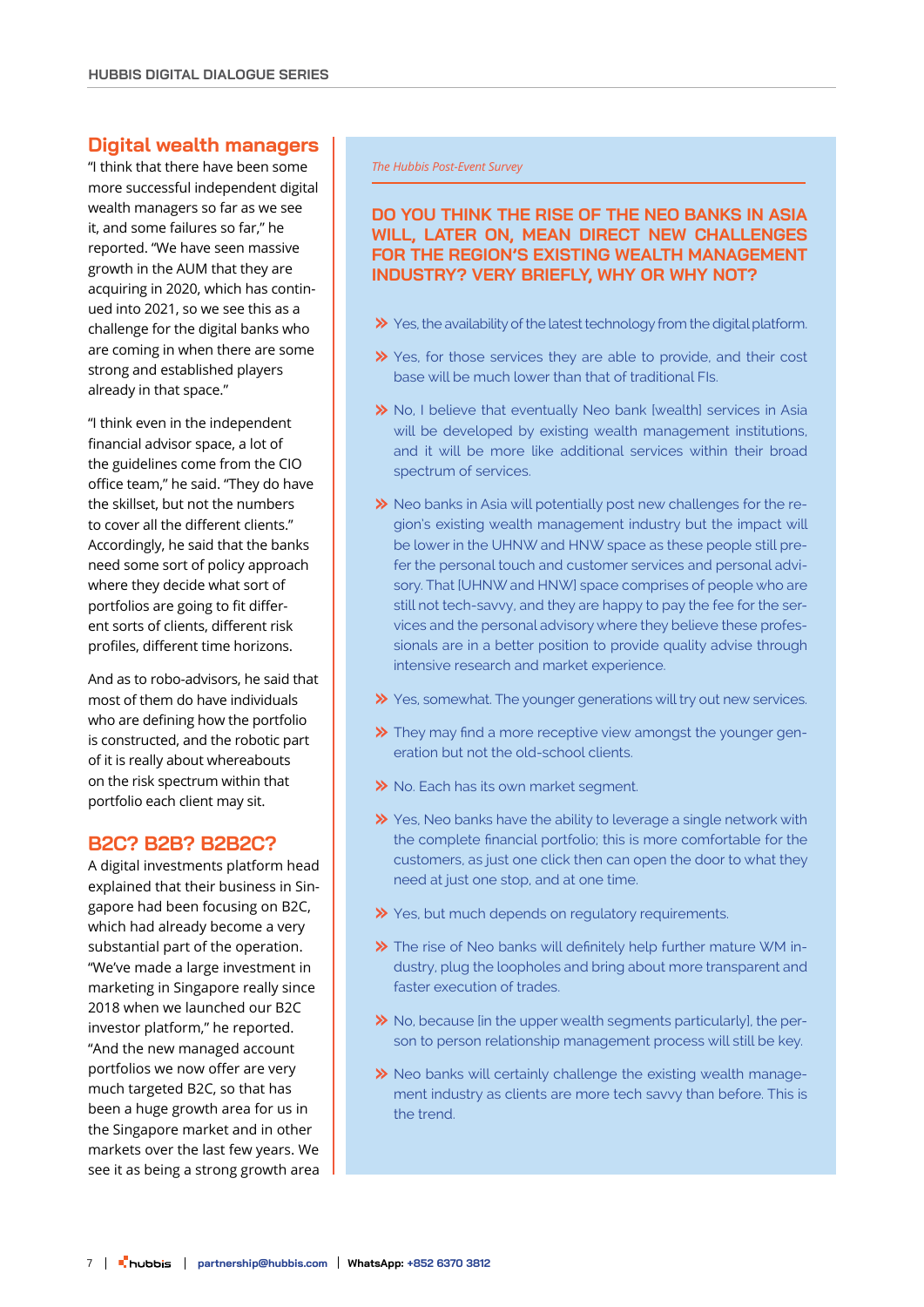## **Digital wealth managers**

"I think that there have been some more successful independent digital wealth managers so far as we see it, and some failures so far," he reported. "We have seen massive growth in the AUM that they are acquiring in 2020, which has continued into 2021, so we see this as a challenge for the digital banks who are coming in when there are some strong and established players already in that space."

"I think even in the independent financial advisor space, a lot of the guidelines come from the CIO office team," he said. "They do have the skillset, but not the numbers to cover all the different clients." Accordingly, he said that the banks need some sort of policy approach where they decide what sort of portfolios are going to fit different sorts of clients, different risk profiles, different time horizons.

And as to robo-advisors, he said that most of them do have individuals who are defining how the portfolio is constructed, and the robotic part of it is really about whereabouts on the risk spectrum within that portfolio each client may sit.

# **B2C? B2B? B2B2C?**

A digital investments platform head explained that their business in Singapore had been focusing on B2C, which had already become a very substantial part of the operation. "We've made a large investment in marketing in Singapore really since 2018 when we launched our B2C investor platform," he reported. "And the new managed account portfolios we now offer are very much targeted B2C, so that has been a huge growth area for us in the Singapore market and in other markets over the last few years. We see it as being a strong growth area *The Hubbis Post-Event Survey*

# **4% WILL, LATER ON, MEAN DIRECT NEW CHALLENGES DO YOU THINK THE RISE OF THE NEO BANKS IN ASIA FOR THE REGION'S EXISTING WEALTH MANAGEMENT INDUSTRY? VERY BRIEFLY, WHY OR WHY NOT?**

- $\gg$  Yes, the availability of the latest technology from the digital platform.
- X Yes, for those services they are able to provide, and their cost base will be much lower than that of traditional FIs.
- **>>** No, I believe that eventually Neo bank [wealth] services in Asia will be developed by existing wealth management institutions, and it will be more like additional services within their broad spectrum of services.
- $\gg$  Neo banks in Asia will potentially post new challenges for the region's existing wealth management industry but the impact will be lower in the UHNW and HNW space as these people still prefer the personal touch and customer services and personal advisory. That [UHNW and HNW] space comprises of people who are still not tech-savvy, and they are happy to pay the fee for the services and the personal advisory where they believe these professionals are in a better position to provide quality advise through intensive research and market experience.
- X Yes, somewhat. The younger generations will try out new services.
- They may find a more receptive view amongst the younger generation but not the old-school clients.
- >> No. Each has its own market segment.
- **>>** Yes, Neo banks have the ability to leverage a single network with the complete financial portfolio; this is more comfortable for the customers, as just one click then can open the door to what they need at just one stop, and at one time.
- X Yes, but much depends on regulatory requirements.
- The rise of Neo banks will definitely help further mature WM industry, plug the loopholes and bring about more transparent and faster execution of trades.
- $\gg$  No, because [in the upper wealth segments particularly], the person to person relationship management process will still be key.
- $\gg$  Neo banks will certainly challenge the existing wealth management industry as clients are more tech savvy than before. This is the trend.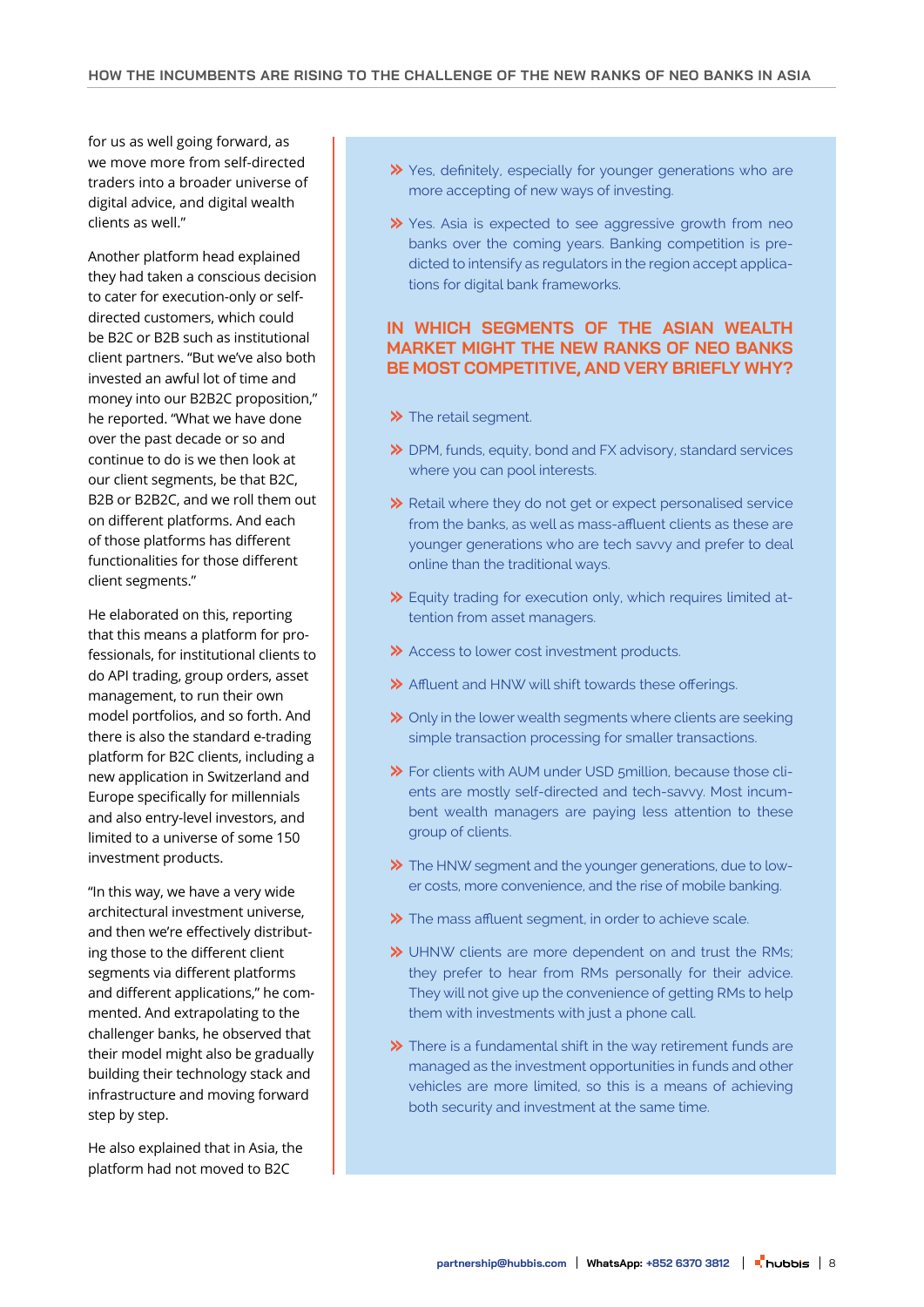for us as well going forward, as we move more from self-directed traders into a broader universe of digital advice, and digital wealth clients as well."

Another platform head explained they had taken a conscious decision to cater for execution-only or selfdirected customers, which could be B2C or B2B such as institutional client partners. "But we've also both invested an awful lot of time and money into our B2B2C proposition," he reported. "What we have done over the past decade or so and continue to do is we then look at our client segments, be that B2C, B2B or B2B2C, and we roll them out on different platforms. And each of those platforms has different functionalities for those different client segments."

He elaborated on this, reporting that this means a platform for professionals, for institutional clients to do API trading, group orders, asset management, to run their own model portfolios, and so forth. And there is also the standard e-trading platform for B2C clients, including a new application in Switzerland and Europe specifically for millennials and also entry-level investors, and limited to a universe of some 150 investment products.

"In this way, we have a very wide architectural investment universe, and then we're effectively distributing those to the different client segments via different platforms and different applications," he commented. And extrapolating to the challenger banks, he observed that their model might also be gradually building their technology stack and infrastructure and moving forward step by step.

He also explained that in Asia, the platform had not moved to B2C

- Yes, definitely, especially for younger generations who are more accepting of new ways of investing.
- X Yes. Asia is expected to see aggressive growth from neo banks over the coming years. Banking competition is predicted to intensify as regulators in the region accept applications for digital bank frameworks.

# **IN WHICH SEGMENTS OF THE ASIAN WEALTH MARKET MIGHT THE NEW RANKS OF NEO BANKS BE MOST COMPETITIVE, AND VERY BRIEFLY WHY?**

- >> The retail segment.
- DPM, funds, equity, bond and FX advisory, standard services where you can pool interests.
- Retail where they do not get or expect personalised service from the banks, as well as mass-affluent clients as these are younger generations who are tech savvy and prefer to deal online than the traditional ways.
- Equity trading for execution only, which requires limited attention from asset managers.
- Access to lower cost investment products.
- Affluent and HNW will shift towards these offerings.
- **→** Only in the lower wealth segments where clients are seeking simple transaction processing for smaller transactions.
- For clients with AUM under USD 5million, because those clients are mostly self-directed and tech-savvy. Most incumbent wealth managers are paying less attention to these group of clients.
- The HNW segment and the younger generations, due to lower costs, more convenience, and the rise of mobile banking.
- $\gg$  The mass affluent segment, in order to achieve scale.
- UHNW clients are more dependent on and trust the RMs; they prefer to hear from RMs personally for their advice. They will not give up the convenience of getting RMs to help them with investments with just a phone call.
- $\gg$  There is a fundamental shift in the way retirement funds are managed as the investment opportunities in funds and other vehicles are more limited, so this is a means of achieving both security and investment at the same time.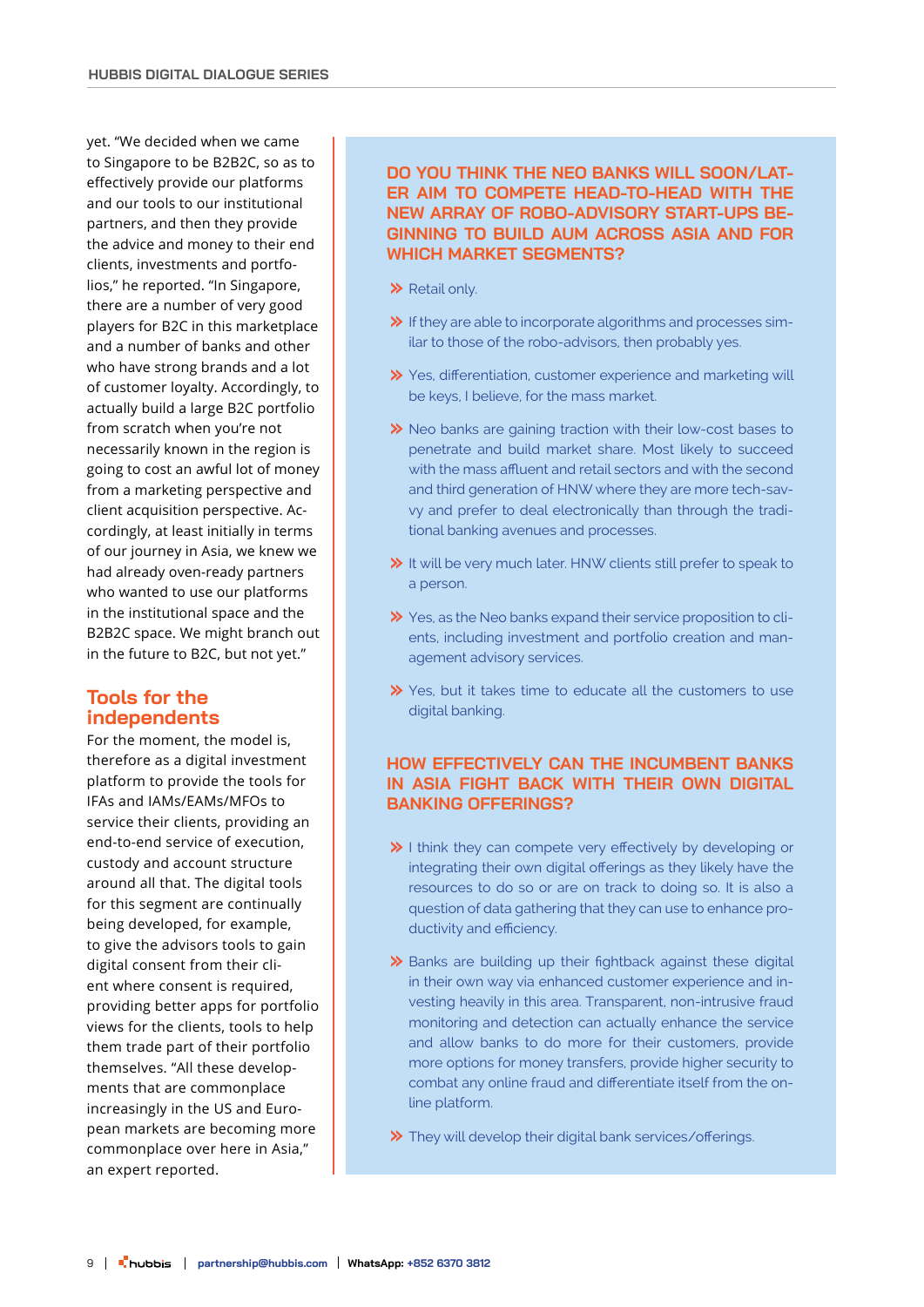yet. "We decided when we came to Singapore to be B2B2C, so as to effectively provide our platforms and our tools to our institutional partners, and then they provide the advice and money to their end clients, investments and portfolios," he reported. "In Singapore, there are a number of very good players for B2C in this marketplace and a number of banks and other who have strong brands and a lot of customer loyalty. Accordingly, to actually build a large B2C portfolio from scratch when you're not necessarily known in the region is going to cost an awful lot of money from a marketing perspective and client acquisition perspective. Accordingly, at least initially in terms of our journey in Asia, we knew we had already oven-ready partners who wanted to use our platforms in the institutional space and the B2B2C space. We might branch out in the future to B2C, but not yet."

# **Tools for the independents**

For the moment, the model is, therefore as a digital investment platform to provide the tools for IFAs and IAMs/EAMs/MFOs to service their clients, providing an end-to-end service of execution, custody and account structure around all that. The digital tools for this segment are continually being developed, for example, to give the advisors tools to gain digital consent from their client where consent is required. providing better apps for portfolio views for the clients, tools to help them trade part of their portfolio themselves. "All these developments that are commonplace increasingly in the US and European markets are becoming more commonplace over here in Asia," an expert reported.

# **DO YOU THINK THE NEO BANKS WILL SOON/LAT-ER AIM TO COMPETE HEAD-TO-HEAD WITH THE NEW ARRAY OF ROBO-ADVISORY START-UPS BE-GINNING TO BUILD AUM ACROSS ASIA AND FOR WHICH MARKET SEGMENTS?**

- $\gg$  Retail only.
- $\triangleright$  If they are able to incorporate algorithms and processes similar to those of the robo-advisors, then probably yes.
- Yes, differentiation, customer experience and marketing will be keys, I believe, for the mass market.
- Neo banks are gaining traction with their low-cost bases to penetrate and build market share. Most likely to succeed with the mass affluent and retail sectors and with the second and third generation of HNW where they are more tech-savvy and prefer to deal electronically than through the traditional banking avenues and processes.
- $\gg$  It will be very much later. HNW clients still prefer to speak to a person.
- X Yes, as the Neo banks expand their service proposition to clients, including investment and portfolio creation and management advisory services.
- **>>** Yes, but it takes time to educate all the customers to use digital banking.

# **HOW EFFECTIVELY CAN THE INCUMBENT BANKS IN ASIA FIGHT BACK WITH THEIR OWN DIGITAL BANKING OFFERINGS?**

- $\gg$  I think they can compete very effectively by developing or integrating their own digital offerings as they likely have the resources to do so or are on track to doing so. It is also a question of data gathering that they can use to enhance productivity and efficiency.
- $\gg$  Banks are building up their fightback against these digital in their own way via enhanced customer experience and investing heavily in this area. Transparent, non-intrusive fraud monitoring and detection can actually enhance the service and allow banks to do more for their customers, provide more options for money transfers, provide higher security to combat any online fraud and differentiate itself from the online platform.
- They will develop their digital bank services/offerings.